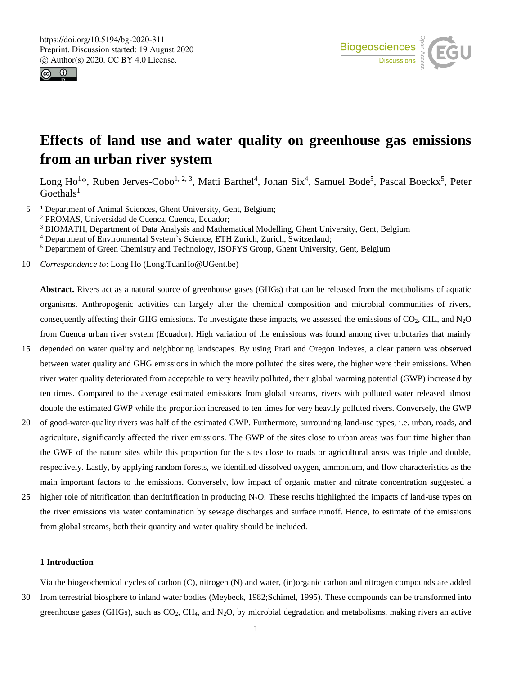



## **Effects of land use and water quality on greenhouse gas emissions from an urban river system**

Long Ho<sup>1\*</sup>, Ruben Jerves-Cobo<sup>1, 2, 3</sup>, Matti Barthel<sup>4</sup>, Johan Six<sup>4</sup>, Samuel Bode<sup>5</sup>, Pascal Boeckx<sup>5</sup>, Peter  $Goethals<sup>1</sup>$ 

5 <sup>1</sup> Department of Animal Sciences, Ghent University, Gent, Belgium;

<sup>2</sup> PROMAS, Universidad de Cuenca, Cuenca, Ecuador;

<sup>3</sup> BIOMATH, Department of Data Analysis and Mathematical Modelling, Ghent University, Gent, Belgium

<sup>4</sup> Department of Environmental System`s Science, ETH Zurich, Zurich, Switzerland;

<sup>5</sup> Department of Green Chemistry and Technology, ISOFYS Group, Ghent University, Gent, Belgium

10 *Correspondence to*: Long Ho (Long.TuanHo@UGent.be)

**Abstract.** Rivers act as a natural source of greenhouse gases (GHGs) that can be released from the metabolisms of aquatic organisms. Anthropogenic activities can largely alter the chemical composition and microbial communities of rivers, consequently affecting their GHG emissions. To investigate these impacts, we assessed the emissions of  $CO<sub>2</sub>$ , CH<sub>4</sub>, and N<sub>2</sub>O from Cuenca urban river system (Ecuador). High variation of the emissions was found among river tributaries that mainly

- 15 depended on water quality and neighboring landscapes. By using Prati and Oregon Indexes, a clear pattern was observed between water quality and GHG emissions in which the more polluted the sites were, the higher were their emissions. When river water quality deteriorated from acceptable to very heavily polluted, their global warming potential (GWP) increased by ten times. Compared to the average estimated emissions from global streams, rivers with polluted water released almost double the estimated GWP while the proportion increased to ten times for very heavily polluted rivers. Conversely, the GWP
- 20 of good-water-quality rivers was half of the estimated GWP. Furthermore, surrounding land-use types, i.e. urban, roads, and agriculture, significantly affected the river emissions. The GWP of the sites close to urban areas was four time higher than the GWP of the nature sites while this proportion for the sites close to roads or agricultural areas was triple and double, respectively. Lastly, by applying random forests, we identified dissolved oxygen, ammonium, and flow characteristics as the main important factors to the emissions. Conversely, low impact of organic matter and nitrate concentration suggested a
- 25 higher role of nitrification than denitrification in producing  $N_2O$ . These results highlighted the impacts of land-use types on the river emissions via water contamination by sewage discharges and surface runoff. Hence, to estimate of the emissions from global streams, both their quantity and water quality should be included.

### **1 Introduction**

Via the biogeochemical cycles of carbon (C), nitrogen (N) and water, (in)organic carbon and nitrogen compounds are added 30 from terrestrial biosphere to inland water bodies (Meybeck, 1982;Schimel, 1995). These compounds can be transformed into greenhouse gases (GHGs), such as  $CO_2$ ,  $CH_4$ , and  $N_2O$ , by microbial degradation and metabolisms, making rivers an active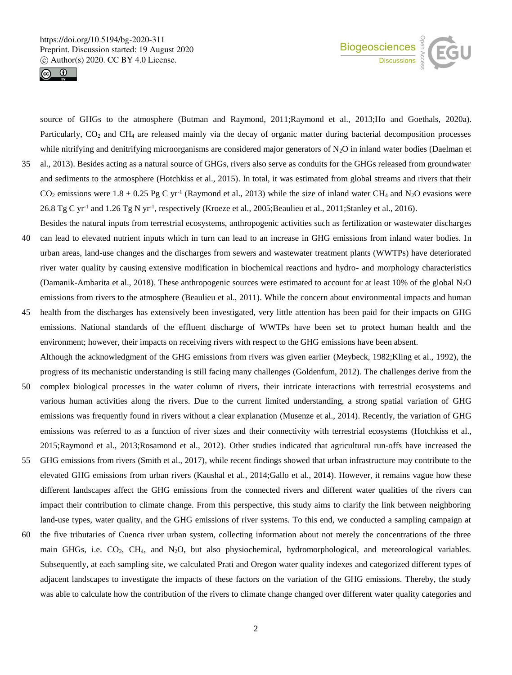



source of GHGs to the atmosphere (Butman and Raymond, 2011;Raymond et al., 2013;Ho and Goethals, 2020a). Particularly, CO<sub>2</sub> and CH<sub>4</sub> are released mainly via the decay of organic matter during bacterial decomposition processes while nitrifying and denitrifying microorganisms are considered major generators of  $N_2O$  in inland water bodies (Daelman et 35 al., 2013). Besides acting as a natural source of GHGs, rivers also serve as conduits for the GHGs released from groundwater and sediments to the atmosphere (Hotchkiss et al., 2015). In total, it was estimated from global streams and rivers that their

- CO<sub>2</sub> emissions were  $1.8 \pm 0.25$  Pg C yr<sup>-1</sup> (Raymond et al., 2013) while the size of inland water CH<sub>4</sub> and N<sub>2</sub>O evasions were 26.8 Tg C yr<sup>-1</sup> and 1.26 Tg N yr<sup>-1</sup>, respectively (Kroeze et al., 2005; Beaulieu et al., 2011; Stanley et al., 2016). Besides the natural inputs from terrestrial ecosystems, anthropogenic activities such as fertilization or wastewater discharges
- 40 can lead to elevated nutrient inputs which in turn can lead to an increase in GHG emissions from inland water bodies. In urban areas, land-use changes and the discharges from sewers and wastewater treatment plants (WWTPs) have deteriorated river water quality by causing extensive modification in biochemical reactions and hydro- and morphology characteristics (Damanik-Ambarita et al., 2018). These anthropogenic sources were estimated to account for at least 10% of the global  $N_2O$ emissions from rivers to the atmosphere (Beaulieu et al., 2011). While the concern about environmental impacts and human
- 45 health from the discharges has extensively been investigated, very little attention has been paid for their impacts on GHG emissions. National standards of the effluent discharge of WWTPs have been set to protect human health and the environment; however, their impacts on receiving rivers with respect to the GHG emissions have been absent. Although the acknowledgment of the GHG emissions from rivers was given earlier (Meybeck, 1982;Kling et al., 1992), the
- progress of its mechanistic understanding is still facing many challenges (Goldenfum, 2012). The challenges derive from the 50 complex biological processes in the water column of rivers, their intricate interactions with terrestrial ecosystems and various human activities along the rivers. Due to the current limited understanding, a strong spatial variation of GHG emissions was frequently found in rivers without a clear explanation (Musenze et al., 2014). Recently, the variation of GHG emissions was referred to as a function of river sizes and their connectivity with terrestrial ecosystems (Hotchkiss et al., 2015;Raymond et al., 2013;Rosamond et al., 2012). Other studies indicated that agricultural run-offs have increased the
- 55 GHG emissions from rivers (Smith et al., 2017), while recent findings showed that urban infrastructure may contribute to the elevated GHG emissions from urban rivers (Kaushal et al., 2014;Gallo et al., 2014). However, it remains vague how these different landscapes affect the GHG emissions from the connected rivers and different water qualities of the rivers can impact their contribution to climate change. From this perspective, this study aims to clarify the link between neighboring land-use types, water quality, and the GHG emissions of river systems. To this end, we conducted a sampling campaign at
- 60 the five tributaries of Cuenca river urban system, collecting information about not merely the concentrations of the three main GHGs, i.e. CO<sub>2</sub>, CH<sub>4</sub>, and N<sub>2</sub>O, but also physiochemical, hydromorphological, and meteorological variables. Subsequently, at each sampling site, we calculated Prati and Oregon water quality indexes and categorized different types of adjacent landscapes to investigate the impacts of these factors on the variation of the GHG emissions. Thereby, the study was able to calculate how the contribution of the rivers to climate change changed over different water quality categories and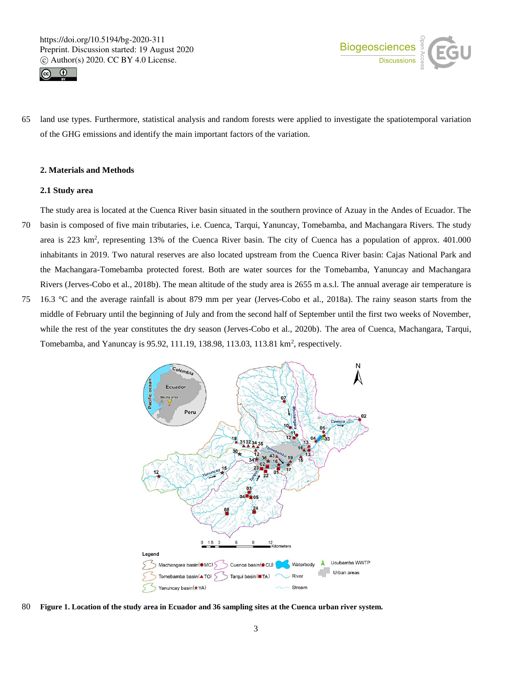



65 land use types. Furthermore, statistical analysis and random forests were applied to investigate the spatiotemporal variation of the GHG emissions and identify the main important factors of the variation.

## **2. Materials and Methods**

#### **2.1 Study area**

The study area is located at the Cuenca River basin situated in the southern province of Azuay in the Andes of Ecuador. The 70 basin is composed of five main tributaries, i.e. Cuenca, Tarqui, Yanuncay, Tomebamba, and Machangara Rivers. The study area is 223 km<sup>2</sup>, representing 13% of the Cuenca River basin. The city of Cuenca has a population of approx. 401.000 inhabitants in 2019. Two natural reserves are also located upstream from the Cuenca River basin: Cajas National Park and the Machangara-Tomebamba protected forest. Both are water sources for the Tomebamba, Yanuncay and Machangara Rivers (Jerves-Cobo et al., 2018b). The mean altitude of the study area is 2655 m a.s.l. The annual average air temperature is 75 16.3 °C and the average rainfall is about 879 mm per year (Jerves-Cobo et al., 2018a). The rainy season starts from the middle of February until the beginning of July and from the second half of September until the first two weeks of November, while the rest of the year constitutes the dry season (Jerves-Cobo et al., 2020b). The area of Cuenca, Machangara, Tarqui,



80 **Figure 1. Location of the study area in Ecuador and 36 sampling sites at the Cuenca urban river system.**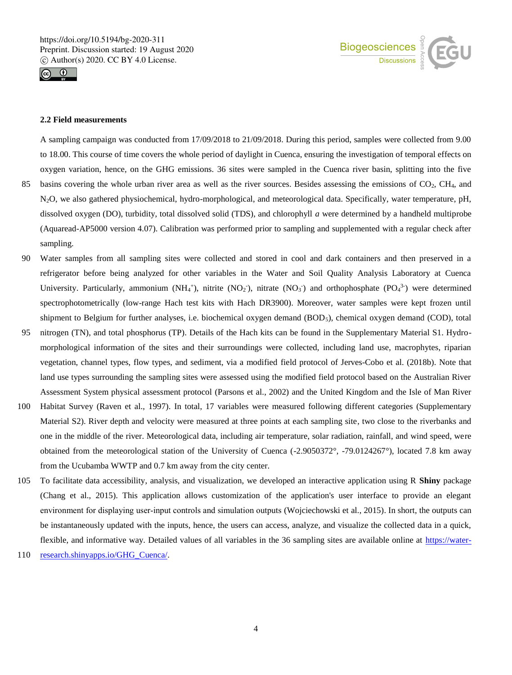



## **2.2 Field measurements**

A sampling campaign was conducted from 17/09/2018 to 21/09/2018. During this period, samples were collected from 9.00 to 18.00. This course of time covers the whole period of daylight in Cuenca, ensuring the investigation of temporal effects on oxygen variation, hence, on the GHG emissions. 36 sites were sampled in the Cuenca river basin, splitting into the five

- 85 basins covering the whole urban river area as well as the river sources. Besides assessing the emissions of  $CO<sub>2</sub>$ ,  $CH<sub>4</sub>$ , and N2O, we also gathered physiochemical, hydro-morphological, and meteorological data. Specifically, water temperature, pH, dissolved oxygen (DO), turbidity, total dissolved solid (TDS), and chlorophyll *a* were determined by a handheld multiprobe (Aquaread-AP5000 version 4.07). Calibration was performed prior to sampling and supplemented with a regular check after sampling.
- 90 Water samples from all sampling sites were collected and stored in cool and dark containers and then preserved in a refrigerator before being analyzed for other variables in the Water and Soil Quality Analysis Laboratory at Cuenca University. Particularly, ammonium (NH<sub>4</sub><sup>+</sup>), nitrite (NO<sub>2</sub><sup>-</sup>), nitrate (NO<sub>3</sub><sup>-</sup>) and orthophosphate (PO<sub>4</sub><sup>3-</sup>) were determined spectrophotometrically (low-range Hach test kits with Hach DR3900). Moreover, water samples were kept frozen until shipment to Belgium for further analyses, i.e. biochemical oxygen demand (BOD5), chemical oxygen demand (COD), total
- 95 nitrogen (TN), and total phosphorus (TP). Details of the Hach kits can be found in the Supplementary Material S1. Hydromorphological information of the sites and their surroundings were collected, including land use, macrophytes, riparian vegetation, channel types, flow types, and sediment, via a modified field protocol of Jerves-Cobo et al. (2018b). Note that land use types surrounding the sampling sites were assessed using the modified field protocol based on the Australian River Assessment System physical assessment protocol (Parsons et al., 2002) and the United Kingdom and the Isle of Man River
- 100 Habitat Survey (Raven et al., 1997). In total, 17 variables were measured following different categories (Supplementary Material S2). River depth and velocity were measured at three points at each sampling site, two close to the riverbanks and one in the middle of the river. Meteorological data, including air temperature, solar radiation, rainfall, and wind speed, were obtained from the meteorological station of the University of Cuenca (-2.9050372°, -79.0124267°), located 7.8 km away from the Ucubamba WWTP and 0.7 km away from the city center.
- 105 To facilitate data accessibility, analysis, and visualization, we developed an interactive application using R **Shiny** package (Chang et al., 2015). This application allows customization of the application's user interface to provide an elegant environment for displaying user‐input controls and simulation outputs (Wojciechowski et al., 2015). In short, the outputs can be instantaneously updated with the inputs, hence, the users can access, analyze, and visualize the collected data in a quick, flexible, and informative way. Detailed values of all variables in the 36 sampling sites are available online at https://water-
- 110 research.shinyapps.io/GHG\_Cuenca/.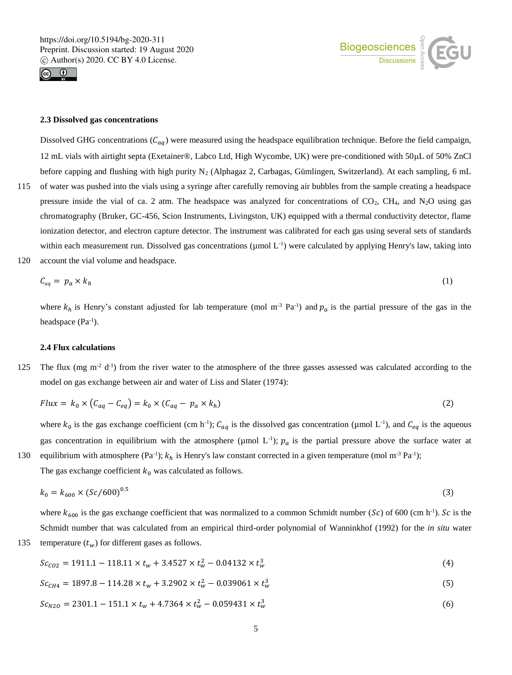



#### **2.3 Dissolved gas concentrations**

Dissolved GHG concentrations  $(C_{aq})$  were measured using the headspace equilibration technique. Before the field campaign, 12 mL vials with airtight septa (Exetainer®, Labco Ltd, High Wycombe, UK) were pre-conditioned with 50µL of 50% ZnCl before capping and flushing with high purity  $N_2$  (Alphagaz 2, Carbagas, Gümlingen, Switzerland). At each sampling, 6 mL 115 of water was pushed into the vials using a syringe after carefully removing air bubbles from the sample creating a headspace pressure inside the vial of ca. 2 atm. The headspace was analyzed for concentrations of  $CO<sub>2</sub>$ , CH<sub>4</sub>, and N<sub>2</sub>O using gas chromatography (Bruker, GC-456, Scion Instruments, Livingston, UK) equipped with a thermal conductivity detector, flame ionization detector, and electron capture detector. The instrument was calibrated for each gas using several sets of standards within each measurement run. Dissolved gas concentrations ( $\mu$ mol L<sup>-1</sup>) were calculated by applying Henry's law, taking into 120 account the vial volume and headspace.

$$
C_{aq} = p_a \times k_h \tag{1}
$$

where  $k_h$  is Henry's constant adjusted for lab temperature (mol m<sup>-3</sup> Pa<sup>-1</sup>) and  $p_a$  is the partial pressure of the gas in the headspace  $(Pa^{-1})$ .

#### **2.4 Flux calculations**

125 The flux (mg  $m^2 d^{-1}$ ) from the river water to the atmosphere of the three gasses assessed was calculated according to the model on gas exchange between air and water of Liss and Slater (1974):

$$
Flux = k_0 \times (C_{aq} - C_{eq}) = k_0 \times (C_{aq} - p_a \times k_h)
$$
\n<sup>(2)</sup>

where  $k_0$  is the gas exchange coefficient (cm h<sup>-1</sup>);  $C_{aq}$  is the dissolved gas concentration (µmol L<sup>-1</sup>), and  $C_{eq}$  is the aqueous gas concentration in equilibrium with the atmosphere ( $\mu$ mol L<sup>-1</sup>);  $p_a$  is the partial pressure above the surface water at 130 equilibrium with atmosphere  $(Pa^{-1})$ ;  $k<sub>h</sub>$  is Henry's law constant corrected in a given temperature (mol m<sup>-3</sup> Pa<sup>-1</sup>);

The gas exchange coefficient  $k_0$  was calculated as follows.

$$
k_0 = k_{600} \times (Sc/600)^{0.5}
$$
 (3)

where  $k_{600}$  is the gas exchange coefficient that was normalized to a common Schmidt number (Sc) of 600 (cm h<sup>-1</sup>). Sc is the Schmidt number that was calculated from an empirical third-order polynomial of Wanninkhof (1992) for the *in situ* water 135 temperature  $(t_w)$  for different gases as follows.

$$
Sc_{CO2} = 1911.1 - 118.11 \times t_w + 3.4527 \times t_w^2 - 0.04132 \times t_w^3 \tag{4}
$$

$$
Sc_{CH4} = 1897.8 - 114.28 \times t_w + 3.2902 \times t_w^2 - 0.039061 \times t_w^3 \tag{5}
$$

$$
Sc_{N20} = 2301.1 - 151.1 \times t_w + 4.7364 \times t_w^2 - 0.059431 \times t_w^3 \tag{6}
$$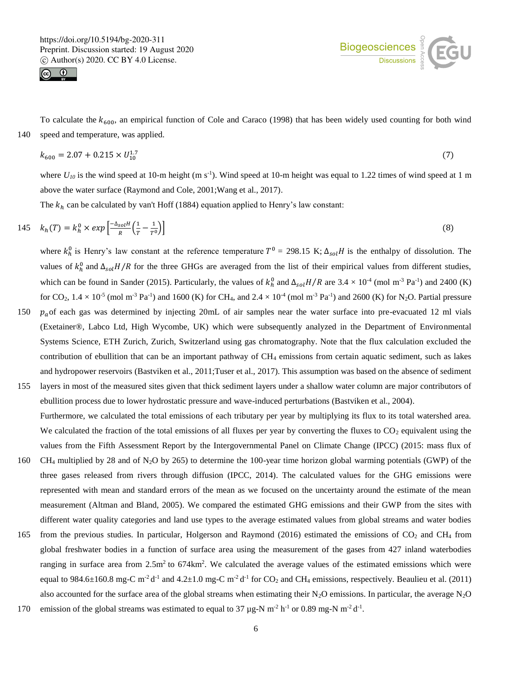



To calculate the  $k_{600}$ , an empirical function of Cole and Caraco (1998) that has been widely used counting for both wind 140 speed and temperature, was applied.

$$
k_{600} = 2.07 + 0.215 \times U_{10}^{1.7} \tag{7}
$$

where  $U_{10}$  is the wind speed at 10-m height (m s<sup>-1</sup>). Wind speed at 10-m height was equal to 1.22 times of wind speed at 1 m above the water surface (Raymond and Cole, 2001;Wang et al., 2017).

The  $k_h$  can be calculated by van't Hoff (1884) equation applied to Henry's law constant:

$$
145 \quad k_h(T) = k_h^0 \times \exp\left[\frac{-\Delta_{sol}H}{R}\left(\frac{1}{T} - \frac{1}{T^0}\right)\right] \tag{8}
$$

where  $k_h^0$  is Henry's law constant at the reference temperature  $T^0 = 298.15$  K;  $\Delta_{sol}H$  is the enthalpy of dissolution. The values of  $k_h^0$  and  $\Delta_{sol}H/R$  for the three GHGs are averaged from the list of their empirical values from different studies, which can be found in Sander (2015). Particularly, the values of  $k_h^0$  and  $\Delta_{sol}H/R$  are 3.4 × 10<sup>-4</sup> (mol m<sup>-3</sup> Pa<sup>-1</sup>) and 2400 (K) for  $CO_2$ ,  $1.4 \times 10^{-5}$  (mol m<sup>-3</sup> Pa<sup>-1</sup>) and 1600 (K) for CH<sub>4</sub>, and  $2.4 \times 10^{-4}$  (mol m<sup>-3</sup> Pa<sup>-1</sup>) and 2600 (K) for N<sub>2</sub>O. Partial pressure

- 150  $p_a$  of each gas was determined by injecting 20mL of air samples near the water surface into pre-evacuated 12 ml vials (Exetainer®, Labco Ltd, High Wycombe, UK) which were subsequently analyzed in the Department of Environmental Systems Science, ETH Zurich, Zurich, Switzerland using gas chromatography. Note that the flux calculation excluded the contribution of ebullition that can be an important pathway of  $CH_4$  emissions from certain aquatic sediment, such as lakes and hydropower reservoirs (Bastviken et al., 2011;Tuser et al., 2017). This assumption was based on the absence of sediment
- 155 layers in most of the measured sites given that thick sediment layers under a shallow water column are major contributors of ebullition process due to lower hydrostatic pressure and wave-induced perturbations (Bastviken et al., 2004). Furthermore, we calculated the total emissions of each tributary per year by multiplying its flux to its total watershed area. We calculated the fraction of the total emissions of all fluxes per year by converting the fluxes to  $CO<sub>2</sub>$  equivalent using the values from the Fifth Assessment Report by the Intergovernmental Panel on Climate Change (IPCC) (2015: mass flux of
- 160 CH<sup>4</sup> multiplied by 28 and of N2O by 265) to determine the 100-year time horizon global warming potentials (GWP) of the three gases released from rivers through diffusion (IPCC, 2014). The calculated values for the GHG emissions were represented with mean and standard errors of the mean as we focused on the uncertainty around the estimate of the mean measurement (Altman and Bland, 2005). We compared the estimated GHG emissions and their GWP from the sites with different water quality categories and land use types to the average estimated values from global streams and water bodies
- 165 from the previous studies. In particular, Holgerson and Raymond (2016) estimated the emissions of  $CO<sub>2</sub>$  and CH<sub>4</sub> from global freshwater bodies in a function of surface area using the measurement of the gases from 427 inland waterbodies ranging in surface area from  $2.5m^2$  to 674km<sup>2</sup>. We calculated the average values of the estimated emissions which were equal to 984.6 $\pm$ 160.8 mg-C m<sup>-2</sup> d<sup>-1</sup> and 4.2 $\pm$ 1.0 mg-C m<sup>-2</sup> d<sup>-1</sup> for CO<sub>2</sub> and CH<sub>4</sub> emissions, respectively. Beaulieu et al. (2011) also accounted for the surface area of the global streams when estimating their  $N_2O$  emissions. In particular, the average  $N_2O$
- 170 emission of the global streams was estimated to equal to  $37 \mu g$ -N m<sup>-2</sup> h<sup>-1</sup> or 0.89 mg-N m<sup>-2</sup> d<sup>-1</sup>.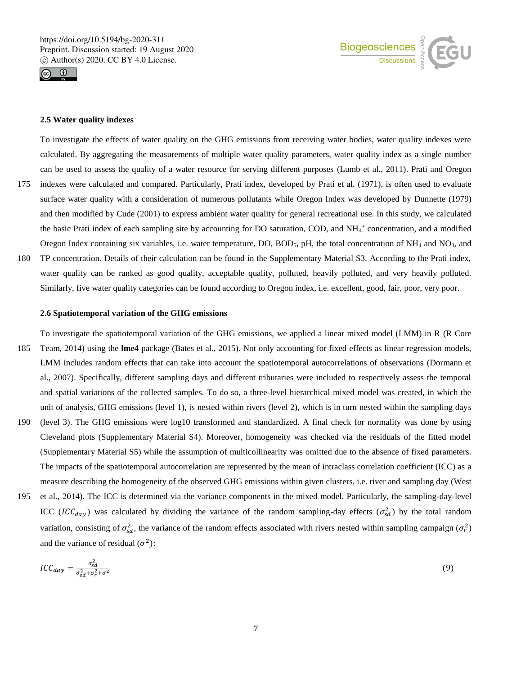



## **2.5 Water quality indexes**

To investigate the effects of water quality on the GHG emissions from receiving water bodies, water quality indexes were calculated. By aggregating the measurements of multiple water quality parameters, water quality index as a single number can be used to assess the quality of a water resource for serving different purposes (Lumb et al., 2011). Prati and Oregon 175 indexes were calculated and compared. Particularly, Prati index, developed by Prati et al. (1971), is often used to evaluate surface water quality with a consideration of numerous pollutants while Oregon Index was developed by Dunnette (1979) and then modified by Cude (2001) to express ambient water quality for general recreational use. In this study, we calculated the basic Prati index of each sampling site by accounting for DO saturation, COD, and NH<sub>4</sub>+ concentration, and a modified Oregon Index containing six variables, i.e. water temperature, DO, BOD<sub>5</sub>, pH, the total concentration of  $NH_4$  and  $NO_3$ , and 180 TP concentration. Details of their calculation can be found in the Supplementary Material S3. According to the Prati index, water quality can be ranked as good quality, acceptable quality, polluted, heavily polluted, and very heavily polluted. Similarly, five water quality categories can be found according to Oregon index, i.e. excellent, good, fair, poor, very poor.

## **2.6 Spatiotemporal variation of the GHG emissions**

- To investigate the spatiotemporal variation of the GHG emissions, we applied a linear mixed model (LMM) in R (R Core 185 Team, 2014) using the **lme4** package (Bates et al., 2015). Not only accounting for fixed effects as linear regression models, LMM includes random effects that can take into account the spatiotemporal autocorrelations of observations (Dormann et al., 2007). Specifically, different sampling days and different tributaries were included to respectively assess the temporal and spatial variations of the collected samples. To do so, a three-level hierarchical mixed model was created, in which the unit of analysis, GHG emissions (level 1), is nested within rivers (level 2), which is in turn nested within the sampling days
- 190 (level 3). The GHG emissions were log10 transformed and standardized. A final check for normality was done by using Cleveland plots (Supplementary Material S4). Moreover, homogeneity was checked via the residuals of the fitted model (Supplementary Material S5) while the assumption of multicollinearity was omitted due to the absence of fixed parameters. The impacts of the spatiotemporal autocorrelation are represented by the mean of intraclass correlation coefficient (ICC) as a measure describing the homogeneity of the observed GHG emissions within given clusters, i.e. river and sampling day (West
- 195 et al., 2014). The ICC is determined via the variance components in the mixed model. Particularly, the sampling-day-level ICC (ICC<sub>day</sub>) was calculated by dividing the variance of the random sampling-day effects ( $\sigma_{sd}^2$ ) by the total random variation, consisting of  $\sigma_{sd}^2$ , the variance of the random effects associated with rivers nested within sampling campaign  $(\sigma_r^2)$ and the variance of residual  $(\sigma^2)$ :

$$
ICC_{day} = \frac{\sigma_{sd}^2}{\sigma_{sd}^2 + \sigma_r^2 + \sigma^2} \tag{9}
$$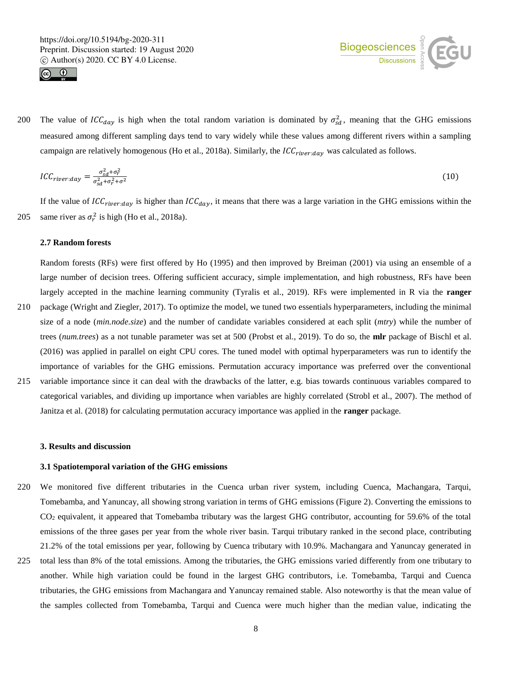



200 The value of  $ICC_{day}$  is high when the total random variation is dominated by  $\sigma_{sd}^2$ , meaning that the GHG emissions measured among different sampling days tend to vary widely while these values among different rivers within a sampling campaign are relatively homogenous (Ho et al., 2018a). Similarly, the  $ICC<sub>river:day</sub>$  was calculated as follows.

$$
ICC_{river:day} = \frac{\sigma_{sd}^2 + \sigma_r^2}{\sigma_{sd}^2 + \sigma_r^2 + \sigma^2}
$$
 (10)

If the value of  $ICC<sub>river:day</sub>$  is higher than  $ICC<sub>day</sub>$ , it means that there was a large variation in the GHG emissions within the 205 same river as  $\sigma_r^2$  is high (Ho et al., 2018a).

#### **2.7 Random forests**

Random forests (RFs) were first offered by Ho (1995) and then improved by Breiman (2001) via using an ensemble of a large number of decision trees. Offering sufficient accuracy, simple implementation, and high robustness, RFs have been largely accepted in the machine learning community (Tyralis et al., 2019). RFs were implemented in R via the **ranger**

- 210 package (Wright and Ziegler, 2017). To optimize the model, we tuned two essentials hyperparameters, including the minimal size of a node (*min.node.size*) and the number of candidate variables considered at each split (*mtry*) while the number of trees (*num.trees*) as a not tunable parameter was set at 500 (Probst et al., 2019). To do so, the **mlr** package of Bischl et al. (2016) was applied in parallel on eight CPU cores. The tuned model with optimal hyperparameters was run to identify the importance of variables for the GHG emissions. Permutation accuracy importance was preferred over the conventional
- 215 variable importance since it can deal with the drawbacks of the latter, e.g. bias towards continuous variables compared to categorical variables, and dividing up importance when variables are highly correlated (Strobl et al., 2007). The method of Janitza et al. (2018) for calculating permutation accuracy importance was applied in the **ranger** package.

#### **3. Results and discussion**

#### **3.1 Spatiotemporal variation of the GHG emissions**

- 220 We monitored five different tributaries in the Cuenca urban river system, including Cuenca, Machangara, Tarqui, Tomebamba, and Yanuncay, all showing strong variation in terms of GHG emissions (Figure 2). Converting the emissions to CO<sup>2</sup> equivalent, it appeared that Tomebamba tributary was the largest GHG contributor, accounting for 59.6% of the total emissions of the three gases per year from the whole river basin. Tarqui tributary ranked in the second place, contributing 21.2% of the total emissions per year, following by Cuenca tributary with 10.9%. Machangara and Yanuncay generated in
- 225 total less than 8% of the total emissions. Among the tributaries, the GHG emissions varied differently from one tributary to another. While high variation could be found in the largest GHG contributors, i.e. Tomebamba, Tarqui and Cuenca tributaries, the GHG emissions from Machangara and Yanuncay remained stable. Also noteworthy is that the mean value of the samples collected from Tomebamba, Tarqui and Cuenca were much higher than the median value, indicating the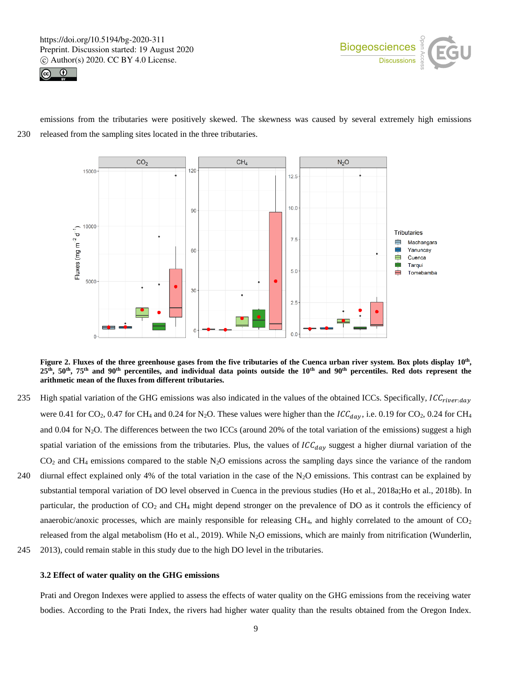



emissions from the tributaries were positively skewed. The skewness was caused by several extremely high emissions 230 released from the sampling sites located in the three tributaries.



**Figure 2. Fluxes of the three greenhouse gases from the five tributaries of the Cuenca urban river system. Box plots display 10th , 25th, 50th, 75th and 90th percentiles, and individual data points outside the 10th and 90th percentiles. Red dots represent the arithmetic mean of the fluxes from different tributaries.**

- 235 High spatial variation of the GHG emissions was also indicated in the values of the obtained ICCs. Specifically,  $ICC<sub>river:day</sub>$ were 0.41 for CO<sub>2</sub>, 0.47 for CH<sub>4</sub> and 0.24 for N<sub>2</sub>O. These values were higher than the  $ICC_{day}$ , i.e. 0.19 for CO<sub>2</sub>, 0.24 for CH<sub>4</sub> and 0.04 for N<sub>2</sub>O. The differences between the two ICCs (around 20% of the total variation of the emissions) suggest a high spatial variation of the emissions from the tributaries. Plus, the values of  $ICC_{day}$  suggest a higher diurnal variation of the  $CO<sub>2</sub>$  and CH<sub>4</sub> emissions compared to the stable N<sub>2</sub>O emissions across the sampling days since the variance of the random
- 240 diurnal effect explained only 4% of the total variation in the case of the N2O emissions. This contrast can be explained by substantial temporal variation of DO level observed in Cuenca in the previous studies (Ho et al., 2018a;Ho et al., 2018b). In particular, the production of CO<sup>2</sup> and CH<sup>4</sup> might depend stronger on the prevalence of DO as it controls the efficiency of anaerobic/anoxic processes, which are mainly responsible for releasing  $CH<sub>4</sub>$ , and highly correlated to the amount of  $CO<sub>2</sub>$ released from the algal metabolism (Ho et al., 2019). While  $N_2O$  emissions, which are mainly from nitrification (Wunderlin,
- 245 2013), could remain stable in this study due to the high DO level in the tributaries.

#### **3.2 Effect of water quality on the GHG emissions**

Prati and Oregon Indexes were applied to assess the effects of water quality on the GHG emissions from the receiving water bodies. According to the Prati Index, the rivers had higher water quality than the results obtained from the Oregon Index.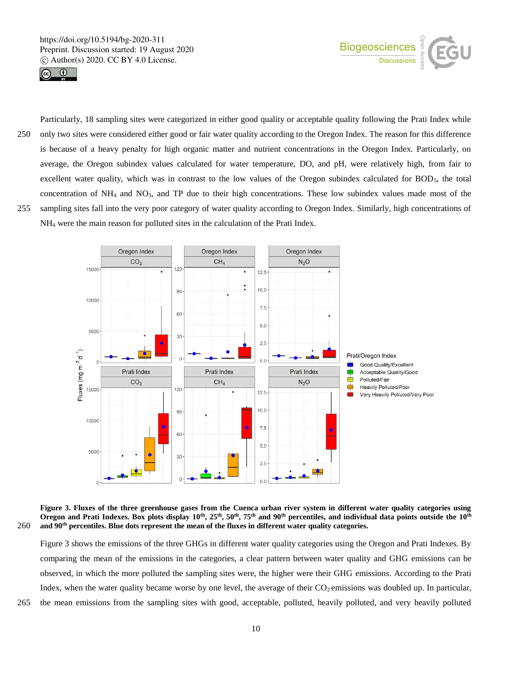



250 only two sites were considered either good or fair water quality according to the Oregon Index. The reason for this difference is because of a heavy penalty for high organic matter and nutrient concentrations in the Oregon Index. Particularly, on average, the Oregon subindex values calculated for water temperature, DO, and pH, were relatively high, from fair to excellent water quality, which was in contrast to the low values of the Oregon subindex calculated for BOD<sub>5</sub>, the total concentration of NH<sup>4</sup> and NO3, and TP due to their high concentrations. These low subindex values made most of the 255 sampling sites fall into the very poor category of water quality according to Oregon Index. Similarly, high concentrations of NH<sup>4</sup> were the main reason for polluted sites in the calculation of the Prati Index.

Particularly, 18 sampling sites were categorized in either good quality or acceptable quality following the Prati Index while



**Figure 3. Fluxes of the three greenhouse gases from the Cuenca urban river system in different water quality categories using Oregon and Prati Indexes. Box plots display 10th, 25th, 50th, 75th and 90th percentiles, and individual data points outside the 10th and 90th** 260 **percentiles. Blue dots represent the mean of the fluxes in different water quality categories.** 

Figure 3 shows the emissions of the three GHGs in different water quality categories using the Oregon and Prati Indexes. By comparing the mean of the emissions in the categories, a clear pattern between water quality and GHG emissions can be observed, in which the more polluted the sampling sites were, the higher were their GHG emissions. According to the Prati Index, when the water quality became worse by one level, the average of their  $CO<sub>2</sub>$  emissions was doubled up. In particular, 265 the mean emissions from the sampling sites with good, acceptable, polluted, heavily polluted, and very heavily polluted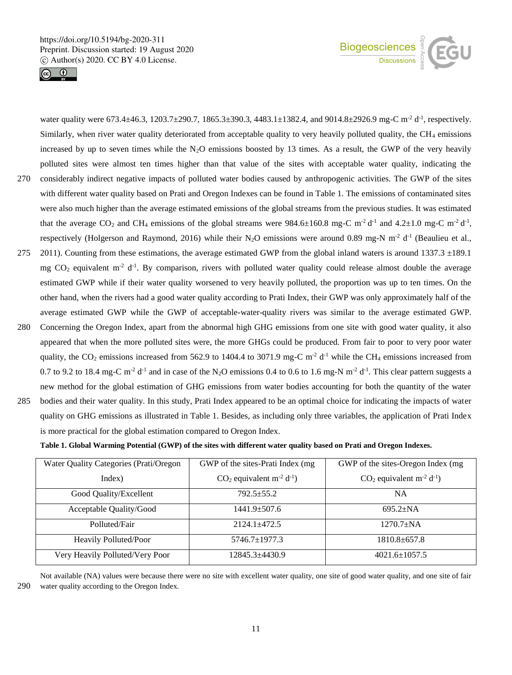



water quality were  $673.4 \pm 46.3$ ,  $1203.7 \pm 290.7$ ,  $1865.3 \pm 390.3$ ,  $4483.1 \pm 1382.4$ , and  $9014.8 \pm 2926.9$  mg-C m<sup>-2</sup> d<sup>-1</sup>, respectively. Similarly, when river water quality deteriorated from acceptable quality to very heavily polluted quality, the  $CH_4$  emissions increased by up to seven times while the  $N_2O$  emissions boosted by 13 times. As a result, the GWP of the very heavily polluted sites were almost ten times higher than that value of the sites with acceptable water quality, indicating the 270 considerably indirect negative impacts of polluted water bodies caused by anthropogenic activities. The GWP of the sites with different water quality based on Prati and Oregon Indexes can be found in Table 1. The emissions of contaminated sites were also much higher than the average estimated emissions of the global streams from the previous studies. It was estimated that the average CO<sub>2</sub> and CH<sub>4</sub> emissions of the global streams were 984.6 $\pm$ 160.8 mg-C m<sup>-2</sup> d<sup>-1</sup> and 4.2 $\pm$ 1.0 mg-C m<sup>-2</sup> d<sup>-1</sup>, respectively (Holgerson and Raymond, 2016) while their N<sub>2</sub>O emissions were around 0.89 mg-N m<sup>-2</sup> d<sup>-1</sup> (Beaulieu et al., 275 2011). Counting from these estimations, the average estimated GWP from the global inland waters is around  $1337.3 \pm 189.1$ mg  $CO<sub>2</sub>$  equivalent m<sup>-2</sup> d<sup>-1</sup>. By comparison, rivers with polluted water quality could release almost double the average estimated GWP while if their water quality worsened to very heavily polluted, the proportion was up to ten times. On the other hand, when the rivers had a good water quality according to Prati Index, their GWP was only approximately half of the average estimated GWP while the GWP of acceptable-water-quality rivers was similar to the average estimated GWP. 280 Concerning the Oregon Index, apart from the abnormal high GHG emissions from one site with good water quality, it also appeared that when the more polluted sites were, the more GHGs could be produced. From fair to poor to very poor water quality, the  $CO_2$  emissions increased from 562.9 to 1404.4 to 3071.9 mg-C m<sup>-2</sup> d<sup>-1</sup> while the CH<sub>4</sub> emissions increased from

0.7 to 9.2 to 18.4 mg-C m<sup>-2</sup> d<sup>-1</sup> and in case of the N<sub>2</sub>O emissions 0.4 to 0.6 to 1.6 mg-N m<sup>-2</sup> d<sup>-1</sup>. This clear pattern suggests a new method for the global estimation of GHG emissions from water bodies accounting for both the quantity of the water 285 bodies and their water quality. In this study, Prati Index appeared to be an optimal choice for indicating the impacts of water quality on GHG emissions as illustrated in Table 1. Besides, as including only three variables, the application of Prati Index is more practical for the global estimation compared to Oregon Index.

**Table 1. Global Warming Potential (GWP) of the sites with different water quality based on Prati and Oregon Indexes.** 

| Water Quality Categories (Prati/Oregon | GWP of the sites-Prati Index (mg)                  | GWP of the sites-Oregon Index (mg)                 |  |  |  |  |
|----------------------------------------|----------------------------------------------------|----------------------------------------------------|--|--|--|--|
| Index)                                 | $CO2$ equivalent m <sup>-2</sup> d <sup>-1</sup> ) | $CO2$ equivalent m <sup>-2</sup> d <sup>-1</sup> ) |  |  |  |  |
| Good Quality/Excellent                 | $792.5 + 55.2$                                     | <b>NA</b>                                          |  |  |  |  |
| Acceptable Quality/Good                | $1441.9 \pm 507.6$                                 | $695.2 + NA$                                       |  |  |  |  |
| Polluted/Fair                          | $2124.1 + 472.5$                                   | $1270.7 + NA$                                      |  |  |  |  |
| Heavily Polluted/Poor                  | 5746.7±1977.3                                      | $1810.8 + 657.8$                                   |  |  |  |  |
| Very Heavily Polluted/Very Poor        | 12845.3+4430.9                                     | $4021.6 \pm 1057.5$                                |  |  |  |  |

Not available (NA) values were because there were no site with excellent water quality, one site of good water quality, and one site of fair 290 water quality according to the Oregon Index.

11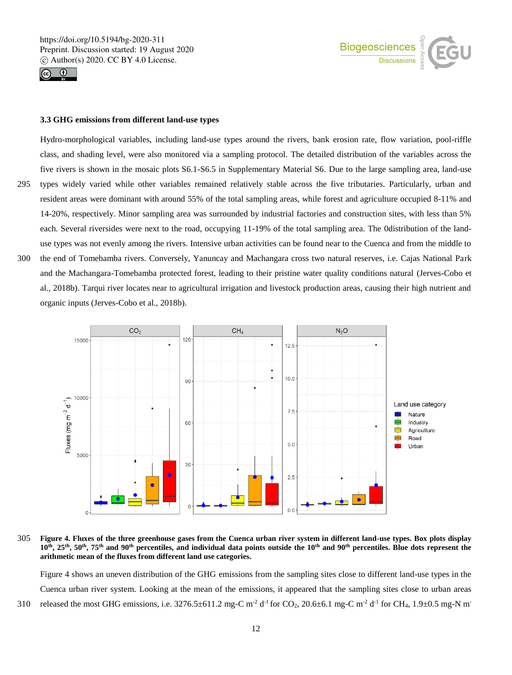



#### **3.3 GHG emissions from different land-use types**

Hydro-morphological variables, including land-use types around the rivers, bank erosion rate, flow variation, pool-riffle class, and shading level, were also monitored via a sampling protocol. The detailed distribution of the variables across the five rivers is shown in the mosaic plots S6.1-S6.5 in Supplementary Material S6. Due to the large sampling area, land-use 295 types widely varied while other variables remained relatively stable across the five tributaries. Particularly, urban and resident areas were dominant with around 55% of the total sampling areas, while forest and agriculture occupied 8-11% and 14-20%, respectively. Minor sampling area was surrounded by industrial factories and construction sites, with less than 5% each. Several riversides were next to the road, occupying 11-19% of the total sampling area. The 0distribution of the landuse types was not evenly among the rivers. Intensive urban activities can be found near to the Cuenca and from the middle to

300 the end of Tomebamba rivers. Conversely, Yanuncay and Machangara cross two natural reserves, i.e. Cajas National Park and the Machangara-Tomebamba protected forest, leading to their pristine water quality conditions natural (Jerves-Cobo et al., 2018b). Tarqui river locates near to agricultural irrigation and livestock production areas, causing their high nutrient and organic inputs (Jerves-Cobo et al., 2018b).



305 **Figure 4. Fluxes of the three greenhouse gases from the Cuenca urban river system in different land-use types. Box plots display**  10<sup>th</sup>, 25<sup>th</sup>, 50<sup>th</sup>, 75<sup>th</sup> and 90<sup>th</sup> percentiles, and individual data points outside the 10<sup>th</sup> and 90<sup>th</sup> percentiles. Blue dots represent the **arithmetic mean of the fluxes from different land use categories.**

Figure 4 shows an uneven distribution of the GHG emissions from the sampling sites close to different land-use types in the Cuenca urban river system. Looking at the mean of the emissions, it appeared that the sampling sites close to urban areas 310 released the most GHG emissions, i.e.  $3276.5 \pm 611.2$  mg-C m<sup>-2</sup> d<sup>-1</sup> for CO<sub>2</sub>, 20.6 $\pm$ 6.1 mg-C m<sup>-2</sup> d<sup>-1</sup> for CH<sub>4</sub>, 1.9 $\pm$ 0.5 mg-N m<sup>-2</sup>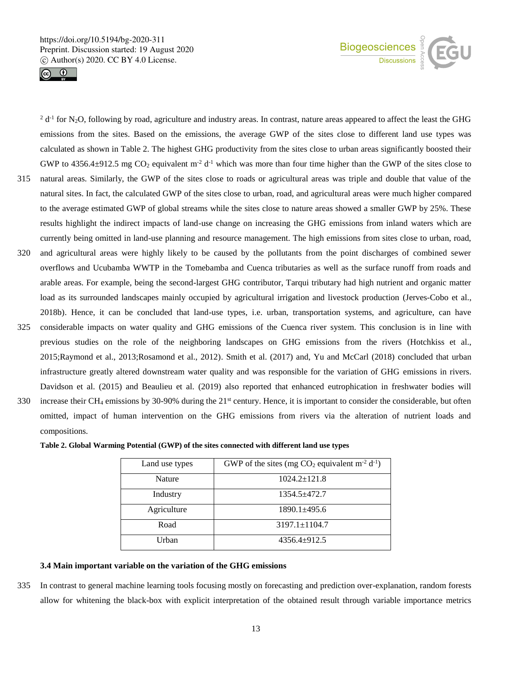



 $2 d^{-1}$  for N<sub>2</sub>O, following by road, agriculture and industry areas. In contrast, nature areas appeared to affect the least the GHG emissions from the sites. Based on the emissions, the average GWP of the sites close to different land use types was calculated as shown in Table 2. The highest GHG productivity from the sites close to urban areas significantly boosted their GWP to 4356.4 $\pm$ 912.5 mg CO<sub>2</sub> equivalent m<sup>-2</sup> d<sup>-1</sup> which was more than four time higher than the GWP of the sites close to 315 natural areas. Similarly, the GWP of the sites close to roads or agricultural areas was triple and double that value of the natural sites. In fact, the calculated GWP of the sites close to urban, road, and agricultural areas were much higher compared to the average estimated GWP of global streams while the sites close to nature areas showed a smaller GWP by 25%. These results highlight the indirect impacts of land-use change on increasing the GHG emissions from inland waters which are currently being omitted in land-use planning and resource management. The high emissions from sites close to urban, road, 320 and agricultural areas were highly likely to be caused by the pollutants from the point discharges of combined sewer overflows and Ucubamba WWTP in the Tomebamba and Cuenca tributaries as well as the surface runoff from roads and arable areas. For example, being the second-largest GHG contributor, Tarqui tributary had high nutrient and organic matter load as its surrounded landscapes mainly occupied by agricultural irrigation and livestock production (Jerves-Cobo et al., 2018b). Hence, it can be concluded that land-use types, i.e. urban, transportation systems, and agriculture, can have 325 considerable impacts on water quality and GHG emissions of the Cuenca river system. This conclusion is in line with previous studies on the role of the neighboring landscapes on GHG emissions from the rivers (Hotchkiss et al., 2015;Raymond et al., 2013;Rosamond et al., 2012). Smith et al. (2017) and, Yu and McCarl (2018) concluded that urban infrastructure greatly altered downstream water quality and was responsible for the variation of GHG emissions in rivers. Davidson et al. (2015) and Beaulieu et al. (2019) also reported that enhanced eutrophication in freshwater bodies will

330 increase their CH<sub>4</sub> emissions by 30-90% during the  $21<sup>st</sup>$  century. Hence, it is important to consider the considerable, but often omitted, impact of human intervention on the GHG emissions from rivers via the alteration of nutrient loads and compositions.

|  |  |  |  |  |  |  | Table 2. Global Warming Potential (GWP) of the sites connected with different land use types |  |  |  |  |  |
|--|--|--|--|--|--|--|----------------------------------------------------------------------------------------------|--|--|--|--|--|
|--|--|--|--|--|--|--|----------------------------------------------------------------------------------------------|--|--|--|--|--|

| Land use types | GWP of the sites (mg $CO_2$ equivalent m <sup>-2</sup> d <sup>-1</sup> ) |
|----------------|--------------------------------------------------------------------------|
| Nature         | $1024.2 \pm 121.8$                                                       |
| Industry       | $1354.5 + 472.7$                                                         |
| Agriculture    | $1890.1 + 495.6$                                                         |
| Road           | $3197.1 \pm 1104.7$                                                      |
| Urban          | $4356.4+912.5$                                                           |

## **3.4 Main important variable on the variation of the GHG emissions**

335 In contrast to general machine learning tools focusing mostly on forecasting and prediction over-explanation, random forests allow for whitening the black-box with explicit interpretation of the obtained result through variable importance metrics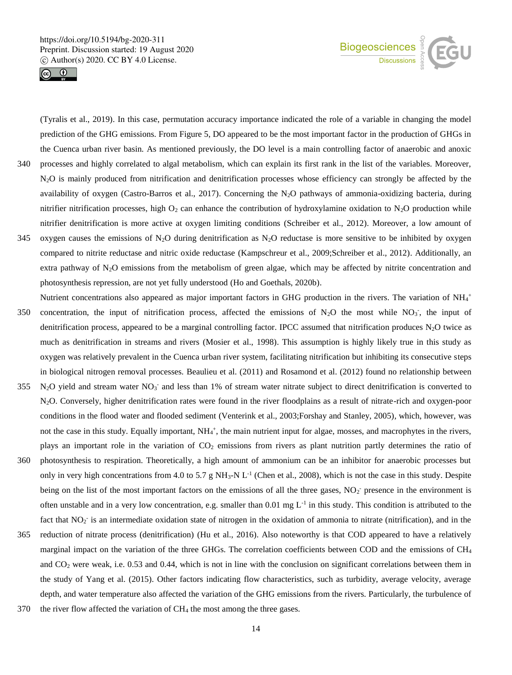



(Tyralis et al., 2019). In this case, permutation accuracy importance indicated the role of a variable in changing the model prediction of the GHG emissions. From Figure 5, DO appeared to be the most important factor in the production of GHGs in the Cuenca urban river basin. As mentioned previously, the DO level is a main controlling factor of anaerobic and anoxic

- 340 processes and highly correlated to algal metabolism, which can explain its first rank in the list of the variables. Moreover, N<sub>2</sub>O is mainly produced from nitrification and denitrification processes whose efficiency can strongly be affected by the availability of oxygen (Castro-Barros et al., 2017). Concerning the N2O pathways of ammonia-oxidizing bacteria, during nitrifier nitrification processes, high  $O_2$  can enhance the contribution of hydroxylamine oxidation to N<sub>2</sub>O production while nitrifier denitrification is more active at oxygen limiting conditions (Schreiber et al., 2012). Moreover, a low amount of
- 345 oxygen causes the emissions of N<sub>2</sub>O during denitrification as N<sub>2</sub>O reductase is more sensitive to be inhibited by oxygen compared to nitrite reductase and nitric oxide reductase (Kampschreur et al., 2009;Schreiber et al., 2012). Additionally, an extra pathway of N2O emissions from the metabolism of green algae, which may be affected by nitrite concentration and photosynthesis repression, are not yet fully understood (Ho and Goethals, 2020b).
- Nutrient concentrations also appeared as major important factors in GHG production in the rivers. The variation of NH<sub>4</sub><sup>+</sup> 350 concentration, the input of nitrification process, affected the emissions of N<sub>2</sub>O the most while NO<sub>3</sub>, the input of denitrification process, appeared to be a marginal controlling factor. IPCC assumed that nitrification produces  $N_2O$  twice as much as denitrification in streams and rivers (Mosier et al., 1998). This assumption is highly likely true in this study as oxygen was relatively prevalent in the Cuenca urban river system, facilitating nitrification but inhibiting its consecutive steps in biological nitrogen removal processes. Beaulieu et al. (2011) and Rosamond et al. (2012) found no relationship between
- $355$  N<sub>2</sub>O yield and stream water NO<sub>3</sub> and less than 1% of stream water nitrate subject to direct denitrification is converted to N2O. Conversely, higher denitrification rates were found in the river floodplains as a result of nitrate-rich and oxygen-poor conditions in the flood water and flooded sediment (Venterink et al., 2003;Forshay and Stanley, 2005), which, however, was not the case in this study. Equally important, NH<sub>4</sub><sup>+</sup>, the main nutrient input for algae, mosses, and macrophytes in the rivers, plays an important role in the variation of CO<sup>2</sup> emissions from rivers as plant nutrition partly determines the ratio of
- 360 photosynthesis to respiration. Theoretically, a high amount of ammonium can be an inhibitor for anaerobic processes but only in very high concentrations from 4.0 to 5.7 g NH<sub>3</sub>-N L<sup>-1</sup> (Chen et al., 2008), which is not the case in this study. Despite being on the list of the most important factors on the emissions of all the three gases,  $NO<sub>2</sub>$ <sup>-</sup> presence in the environment is often unstable and in a very low concentration, e.g. smaller than  $0.01$  mg  $L^{-1}$  in this study. This condition is attributed to the fact that NO<sub>2</sub> is an intermediate oxidation state of nitrogen in the oxidation of ammonia to nitrate (nitrification), and in the
- 365 reduction of nitrate process (denitrification) (Hu et al., 2016). Also noteworthy is that COD appeared to have a relatively marginal impact on the variation of the three GHGs. The correlation coefficients between COD and the emissions of CH<sup>4</sup> and  $CO<sub>2</sub>$  were weak, i.e. 0.53 and 0.44, which is not in line with the conclusion on significant correlations between them in the study of Yang et al. (2015). Other factors indicating flow characteristics, such as turbidity, average velocity, average depth, and water temperature also affected the variation of the GHG emissions from the rivers. Particularly, the turbulence of
- 370 the river flow affected the variation of CH<sup>4</sup> the most among the three gases.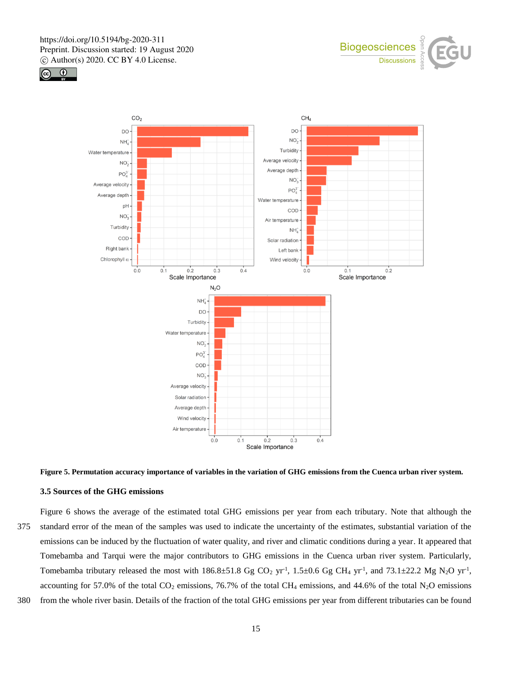





# **Figure 5. Permutation accuracy importance of variables in the variation of GHG emissions from the Cuenca urban river system.**

## **3.5 Sources of the GHG emissions**

Figure 6 shows the average of the estimated total GHG emissions per year from each tributary. Note that although the 375 standard error of the mean of the samples was used to indicate the uncertainty of the estimates, substantial variation of the emissions can be induced by the fluctuation of water quality, and river and climatic conditions during a year. It appeared that Tomebamba and Tarqui were the major contributors to GHG emissions in the Cuenca urban river system. Particularly, Tomebamba tributary released the most with  $186.8 \pm 51.8$  Gg CO<sub>2</sub> yr<sup>-1</sup>,  $1.5 \pm 0.6$  Gg CH<sub>4</sub> yr<sup>-1</sup>, and  $73.1 \pm 22.2$  Mg N<sub>2</sub>O yr<sup>-1</sup>, accounting for 57.0% of the total  $CO_2$  emissions, 76.7% of the total CH<sub>4</sub> emissions, and 44.6% of the total N<sub>2</sub>O emissions

380 from the whole river basin. Details of the fraction of the total GHG emissions per year from different tributaries can be found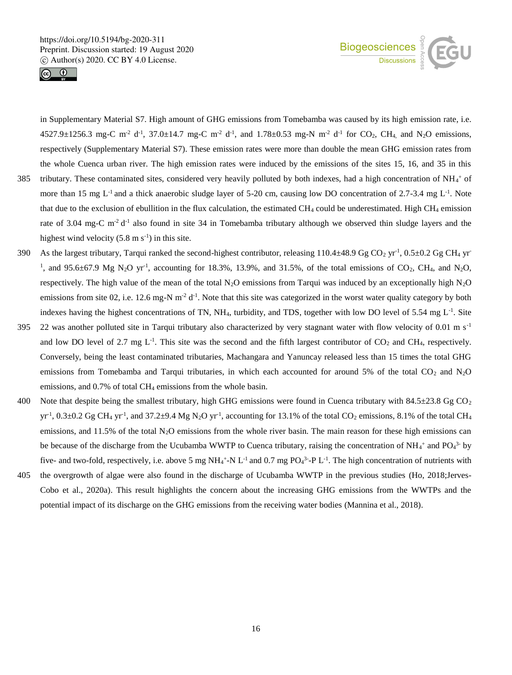



in Supplementary Material S7. High amount of GHG emissions from Tomebamba was caused by its high emission rate, i.e.  $4527.9 \pm 1256.3$  mg-C m<sup>-2</sup> d<sup>-1</sup>, 37.0 $\pm$ 14.7 mg-C m<sup>-2</sup> d<sup>-1</sup>, and 1.78 $\pm$ 0.53 mg-N m<sup>-2</sup> d<sup>-1</sup> for CO<sub>2</sub>, CH<sub>4</sub>, and N<sub>2</sub>O emissions, respectively (Supplementary Material S7). These emission rates were more than double the mean GHG emission rates from the whole Cuenca urban river. The high emission rates were induced by the emissions of the sites 15, 16, and 35 in this

- 385 tributary. These contaminated sites, considered very heavily polluted by both indexes, had a high concentration of  $NH_4^+$  of more than 15 mg  $L^{-1}$  and a thick anaerobic sludge layer of 5-20 cm, causing low DO concentration of 2.7-3.4 mg  $L^{-1}$ . Note that due to the exclusion of ebullition in the flux calculation, the estimated CH<sub>4</sub> could be underestimated. High CH<sub>4</sub> emission rate of 3.04 mg-C  $m<sup>2</sup> d<sup>-1</sup>$  also found in site 34 in Tomebamba tributary although we observed thin sludge layers and the highest wind velocity  $(5.8 \text{ m s}^{-1})$  in this site.
- 390 As the largest tributary, Tarqui ranked the second-highest contributor, releasing  $110.4\pm48.9$  Gg CO<sub>2</sub> yr<sup>-1</sup>, 0.5 $\pm$ 0.2 Gg CH<sub>4</sub> yr <sup>1</sup>, and 95.6 $\pm$ 67.9 Mg N<sub>2</sub>O yr<sup>-1</sup>, accounting for 18.3%, 13.9%, and 31.5%, of the total emissions of CO<sub>2</sub>, CH<sub>4</sub>, and N<sub>2</sub>O, respectively. The high value of the mean of the total N<sub>2</sub>O emissions from Tarqui was induced by an exceptionally high N<sub>2</sub>O emissions from site 02, i.e. 12.6 mg-N  $m<sup>-2</sup> d<sup>-1</sup>$ . Note that this site was categorized in the worst water quality category by both indexes having the highest concentrations of TN, NH<sub>4</sub>, turbidity, and TDS, together with low DO level of 5.54 mg  $L^{-1}$ . Site
- 395 22 was another polluted site in Tarqui tributary also characterized by very stagnant water with flow velocity of 0.01 m  $s^{-1}$ and low DO level of 2.7 mg  $L^{-1}$ . This site was the second and the fifth largest contributor of  $CO_2$  and  $CH_4$ , respectively. Conversely, being the least contaminated tributaries, Machangara and Yanuncay released less than 15 times the total GHG emissions from Tomebamba and Tarqui tributaries, in which each accounted for around 5% of the total  $CO<sub>2</sub>$  and  $N<sub>2</sub>O$ emissions, and 0.7% of total CH<sub>4</sub> emissions from the whole basin.
- 400 Note that despite being the smallest tributary, high GHG emissions were found in Cuenca tributary with  $84.5\pm23.8$  Gg CO<sub>2</sub> yr<sup>-1</sup>,  $0.3\pm0.2$  Gg CH<sub>4</sub> yr<sup>-1</sup>, and  $37.2\pm9.4$  Mg N<sub>2</sub>O yr<sup>-1</sup>, accounting for 13.1% of the total CO<sub>2</sub> emissions, 8.1% of the total CH<sub>4</sub> emissions, and 11.5% of the total N2O emissions from the whole river basin. The main reason for these high emissions can be because of the discharge from the Ucubamba WWTP to Cuenca tributary, raising the concentration of NH<sub>4</sub><sup>+</sup> and PO<sub>4</sub><sup>3-</sup> by five- and two-fold, respectively, i.e. above 5 mg NH<sub>4</sub><sup>+</sup>-N L<sup>-1</sup> and 0.7 mg PO<sub>4</sub><sup>3</sup>-P L<sup>-1</sup>. The high concentration of nutrients with
- 405 the overgrowth of algae were also found in the discharge of Ucubamba WWTP in the previous studies (Ho, 2018;Jerves-Cobo et al., 2020a). This result highlights the concern about the increasing GHG emissions from the WWTPs and the potential impact of its discharge on the GHG emissions from the receiving water bodies (Mannina et al., 2018).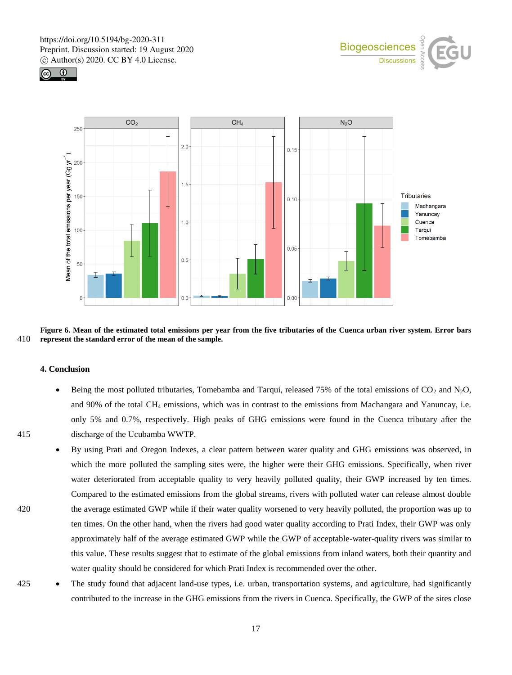





**Figure 6. Mean of the estimated total emissions per year from the five tributaries of the Cuenca urban river system. Error bars**  410 **represent the standard error of the mean of the sample.** 

#### **4. Conclusion**

- Being the most polluted tributaries, Tomebamba and Tarqui, released 75% of the total emissions of  $CO_2$  and  $N_2O$ , and 90% of the total CH<sub>4</sub> emissions, which was in contrast to the emissions from Machangara and Yanuncay, i.e. only 5% and 0.7%, respectively. High peaks of GHG emissions were found in the Cuenca tributary after the 415 discharge of the Ucubamba WWTP.
- 
- By using Prati and Oregon Indexes, a clear pattern between water quality and GHG emissions was observed, in which the more polluted the sampling sites were, the higher were their GHG emissions. Specifically, when river water deteriorated from acceptable quality to very heavily polluted quality, their GWP increased by ten times. Compared to the estimated emissions from the global streams, rivers with polluted water can release almost double 420 the average estimated GWP while if their water quality worsened to very heavily polluted, the proportion was up to ten times. On the other hand, when the rivers had good water quality according to Prati Index, their GWP was only approximately half of the average estimated GWP while the GWP of acceptable-water-quality rivers was similar to this value. These results suggest that to estimate of the global emissions from inland waters, both their quantity and water quality should be considered for which Prati Index is recommended over the other.
- 425 The study found that adjacent land-use types, i.e. urban, transportation systems, and agriculture, had significantly contributed to the increase in the GHG emissions from the rivers in Cuenca. Specifically, the GWP of the sites close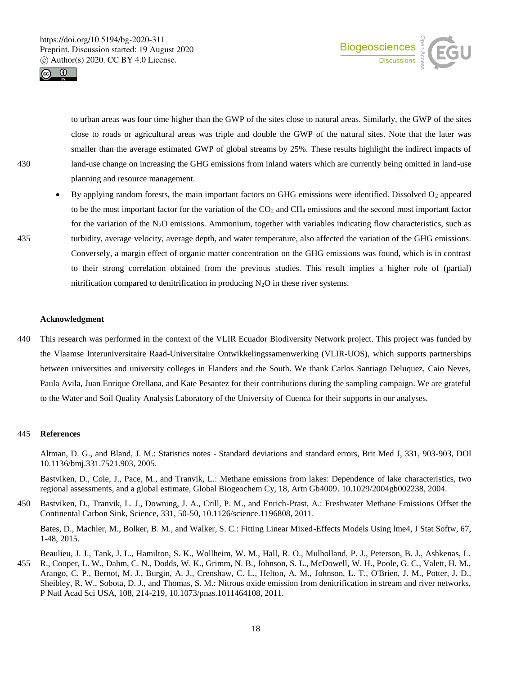



to urban areas was four time higher than the GWP of the sites close to natural areas. Similarly, the GWP of the sites close to roads or agricultural areas was triple and double the GWP of the natural sites. Note that the later was smaller than the average estimated GWP of global streams by 25%. These results highlight the indirect impacts of 430 land-use change on increasing the GHG emissions from inland waters which are currently being omitted in land-use planning and resource management.

By applying random forests, the main important factors on GHG emissions were identified. Dissolved O<sub>2</sub> appeared to be the most important factor for the variation of the  $CO<sub>2</sub>$  and CH<sub>4</sub> emissions and the second most important factor for the variation of the  $N_2O$  emissions. Ammonium, together with variables indicating flow characteristics, such as 435 turbidity, average velocity, average depth, and water temperature, also affected the variation of the GHG emissions. Conversely, a margin effect of organic matter concentration on the GHG emissions was found, which is in contrast to their strong correlation obtained from the previous studies. This result implies a higher role of (partial) nitrification compared to denitrification in producing  $N_2O$  in these river systems.

#### **Acknowledgment**

440 This research was performed in the context of the VLIR Ecuador Biodiversity Network project. This project was funded by the Vlaamse Interuniversitaire Raad-Universitaire Ontwikkelingssamenwerking (VLIR-UOS), which supports partnerships between universities and university colleges in Flanders and the South. We thank Carlos Santiago Deluquez, Caio Neves, Paula Avila, Juan Enrique Orellana, and Kate Pesantez for their contributions during the sampling campaign. We are grateful to the Water and Soil Quality Analysis Laboratory of the University of Cuenca for their supports in our analyses.

#### 445 **References**

Altman, D. G., and Bland, J. M.: Statistics notes - Standard deviations and standard errors, Brit Med J, 331, 903-903, DOI 10.1136/bmj.331.7521.903, 2005.

Bastviken, D., Cole, J., Pace, M., and Tranvik, L.: Methane emissions from lakes: Dependence of lake characteristics, two regional assessments, and a global estimate, Global Biogeochem Cy, 18, Artn Gb4009. 10.1029/2004gb002238, 2004.

450 Bastviken, D., Tranvik, L. J., Downing, J. A., Crill, P. M., and Enrich-Prast, A.: Freshwater Methane Emissions Offset the Continental Carbon Sink, Science, 331, 50-50, 10.1126/science.1196808, 2011.

Bates, D., Machler, M., Bolker, B. M., and Walker, S. C.: Fitting Linear Mixed-Effects Models Using lme4, J Stat Softw, 67, 1-48, 2015.

Beaulieu, J. J., Tank, J. L., Hamilton, S. K., Wollheim, W. M., Hall, R. O., Mulholland, P. J., Peterson, B. J., Ashkenas, L. 455 R., Cooper, L. W., Dahm, C. N., Dodds, W. K., Grimm, N. B., Johnson, S. L., McDowell, W. H., Poole, G. C., Valett, H. M., Arango, C. P., Bernot, M. J., Burgin, A. J., Crenshaw, C. L., Helton, A. M., Johnson, L. T., O'Brien, J. M., Potter, J. D., Sheibley, R. W., Sobota, D. J., and Thomas, S. M.: Nitrous oxide emission from denitrification in stream and river networks, P Natl Acad Sci USA, 108, 214-219, 10.1073/pnas.1011464108, 2011.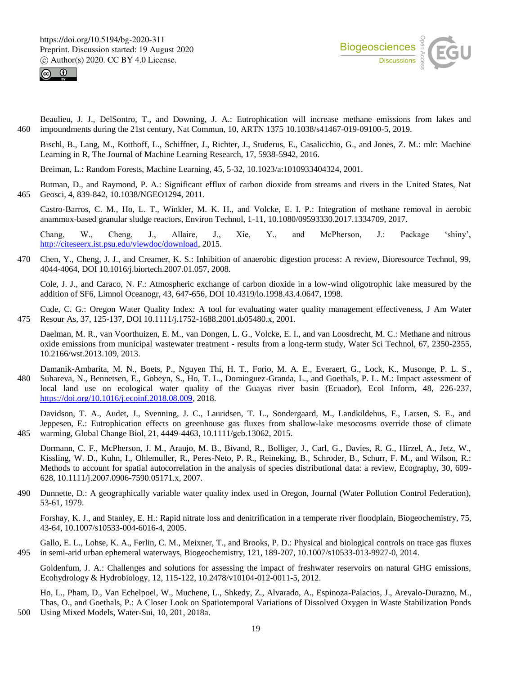



Beaulieu, J. J., DelSontro, T., and Downing, J. A.: Eutrophication will increase methane emissions from lakes and 460 impoundments during the 21st century, Nat Commun, 10, ARTN 1375 10.1038/s41467-019-09100-5, 2019.

Bischl, B., Lang, M., Kotthoff, L., Schiffner, J., Richter, J., Studerus, E., Casalicchio, G., and Jones, Z. M.: mlr: Machine Learning in R, The Journal of Machine Learning Research, 17, 5938-5942, 2016.

Breiman, L.: Random Forests, Machine Learning, 45, 5-32, 10.1023/a:1010933404324, 2001.

Butman, D., and Raymond, P. A.: Significant efflux of carbon dioxide from streams and rivers in the United States, Nat 465 Geosci, 4, 839-842, 10.1038/NGEO1294, 2011.

Castro-Barros, C. M., Ho, L. T., Winkler, M. K. H., and Volcke, E. I. P.: Integration of methane removal in aerobic anammox-based granular sludge reactors, Environ Technol, 1-11, 10.1080/09593330.2017.1334709, 2017.

Chang, W., Cheng, J., Allaire, J., Xie, Y., and McPherson, J.: Package 'shiny', http://citeseerx.ist.psu.edu/viewdoc/download, 2015.

470 Chen, Y., Cheng, J. J., and Creamer, K. S.: Inhibition of anaerobic digestion process: A review, Bioresource Technol, 99, 4044-4064, DOI 10.1016/j.biortech.2007.01.057, 2008.

Cole, J. J., and Caraco, N. F.: Atmospheric exchange of carbon dioxide in a low-wind oligotrophic lake measured by the addition of SF6, Limnol Oceanogr, 43, 647-656, DOI 10.4319/lo.1998.43.4.0647, 1998.

- Cude, C. G.: Oregon Water Quality Index: A tool for evaluating water quality management effectiveness, J Am Water 475 Resour As, 37, 125-137, DOI 10.1111/j.1752-1688.2001.tb05480.x, 2001.
	- Daelman, M. R., van Voorthuizen, E. M., van Dongen, L. G., Volcke, E. I., and van Loosdrecht, M. C.: Methane and nitrous oxide emissions from municipal wastewater treatment - results from a long-term study, Water Sci Technol, 67, 2350-2355, 10.2166/wst.2013.109, 2013.
- Damanik-Ambarita, M. N., Boets, P., Nguyen Thi, H. T., Forio, M. A. E., Everaert, G., Lock, K., Musonge, P. L. S., 480 Suhareva, N., Bennetsen, E., Gobeyn, S., Ho, T. L., Dominguez-Granda, L., and Goethals, P. L. M.: Impact assessment of local land use on ecological water quality of the Guayas river basin (Ecuador), Ecol Inform, 48, 226-237, https://doi.org/10.1016/j.ecoinf.2018.08.009, 2018.

Davidson, T. A., Audet, J., Svenning, J. C., Lauridsen, T. L., Sondergaard, M., Landkildehus, F., Larsen, S. E., and Jeppesen, E.: Eutrophication effects on greenhouse gas fluxes from shallow-lake mesocosms override those of climate 485 warming, Global Change Biol, 21, 4449-4463, 10.1111/gcb.13062, 2015.

Dormann, C. F., McPherson, J. M., Araujo, M. B., Bivand, R., Bolliger, J., Carl, G., Davies, R. G., Hirzel, A., Jetz, W., Kissling, W. D., Kuhn, I., Ohlemuller, R., Peres-Neto, P. R., Reineking, B., Schroder, B., Schurr, F. M., and Wilson, R.: Methods to account for spatial autocorrelation in the analysis of species distributional data: a review, Ecography, 30, 609- 628, 10.1111/j.2007.0906-7590.05171.x, 2007.

490 Dunnette, D.: A geographically variable water quality index used in Oregon, Journal (Water Pollution Control Federation), 53-61, 1979.

Forshay, K. J., and Stanley, E. H.: Rapid nitrate loss and denitrification in a temperate river floodplain, Biogeochemistry, 75, 43-64, 10.1007/s10533-004-6016-4, 2005.

Gallo, E. L., Lohse, K. A., Ferlin, C. M., Meixner, T., and Brooks, P. D.: Physical and biological controls on trace gas fluxes 495 in semi-arid urban ephemeral waterways, Biogeochemistry, 121, 189-207, 10.1007/s10533-013-9927-0, 2014.

Goldenfum, J. A.: Challenges and solutions for assessing the impact of freshwater reservoirs on natural GHG emissions, Ecohydrology & Hydrobiology, 12, 115-122, 10.2478/v10104-012-0011-5, 2012.

Ho, L., Pham, D., Van Echelpoel, W., Muchene, L., Shkedy, Z., Alvarado, A., Espinoza-Palacios, J., Arevalo-Durazno, M., Thas, O., and Goethals, P.: A Closer Look on Spatiotemporal Variations of Dissolved Oxygen in Waste Stabilization Ponds 500 Using Mixed Models, Water-Sui, 10, 201, 2018a.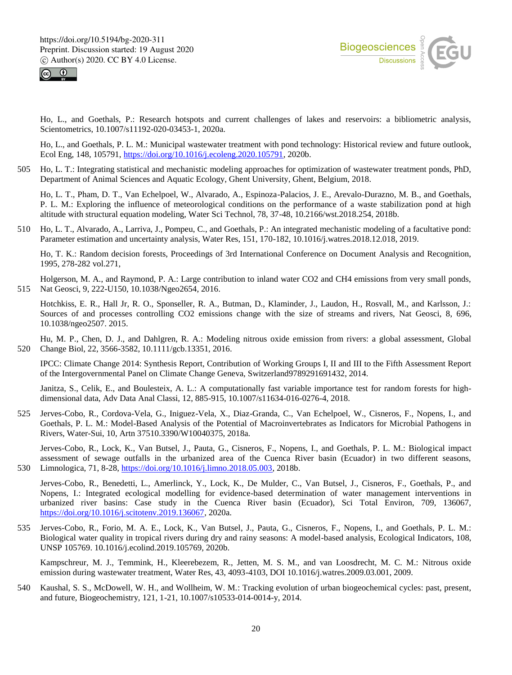



Ho, L., and Goethals, P.: Research hotspots and current challenges of lakes and reservoirs: a bibliometric analysis, Scientometrics, 10.1007/s11192-020-03453-1, 2020a.

Ho, L., and Goethals, P. L. M.: Municipal wastewater treatment with pond technology: Historical review and future outlook, Ecol Eng, 148, 105791, https://doi.org/10.1016/j.ecoleng.2020.105791, 2020b.

505 Ho, L. T.: Integrating statistical and mechanistic modeling approaches for optimization of wastewater treatment ponds, PhD, Department of Animal Sciences and Aquatic Ecology, Ghent University, Ghent, Belgium, 2018.

Ho, L. T., Pham, D. T., Van Echelpoel, W., Alvarado, A., Espinoza-Palacios, J. E., Arevalo-Durazno, M. B., and Goethals, P. L. M.: Exploring the influence of meteorological conditions on the performance of a waste stabilization pond at high altitude with structural equation modeling, Water Sci Technol, 78, 37-48, 10.2166/wst.2018.254, 2018b.

510 Ho, L. T., Alvarado, A., Larriva, J., Pompeu, C., and Goethals, P.: An integrated mechanistic modeling of a facultative pond: Parameter estimation and uncertainty analysis, Water Res, 151, 170-182, 10.1016/j.watres.2018.12.018, 2019.

Ho, T. K.: Random decision forests, Proceedings of 3rd International Conference on Document Analysis and Recognition, 1995, 278-282 vol.271,

Holgerson, M. A., and Raymond, P. A.: Large contribution to inland water CO2 and CH4 emissions from very small ponds, 515 Nat Geosci, 9, 222-U150, 10.1038/Ngeo2654, 2016.

Hotchkiss, E. R., Hall Jr, R. O., Sponseller, R. A., Butman, D., Klaminder, J., Laudon, H., Rosvall, M., and Karlsson, J.: Sources of and processes controlling CO2 emissions change with the size of streams and rivers, Nat Geosci, 8, 696, 10.1038/ngeo2507. 2015.

Hu, M. P., Chen, D. J., and Dahlgren, R. A.: Modeling nitrous oxide emission from rivers: a global assessment, Global 520 Change Biol, 22, 3566-3582, 10.1111/gcb.13351, 2016.

IPCC: Climate Change 2014: Synthesis Report, Contribution of Working Groups I, II and III to the Fifth Assessment Report of the Intergovernmental Panel on Climate Change Geneva, Switzerland9789291691432, 2014.

Janitza, S., Celik, E., and Boulesteix, A. L.: A computationally fast variable importance test for random forests for highdimensional data, Adv Data Anal Classi, 12, 885-915, 10.1007/s11634-016-0276-4, 2018.

525 Jerves-Cobo, R., Cordova-Vela, G., Iniguez-Vela, X., Diaz-Granda, C., Van Echelpoel, W., Cisneros, F., Nopens, I., and Goethals, P. L. M.: Model-Based Analysis of the Potential of Macroinvertebrates as Indicators for Microbial Pathogens in Rivers, Water-Sui, 10, Artn 37510.3390/W10040375, 2018a.

Jerves-Cobo, R., Lock, K., Van Butsel, J., Pauta, G., Cisneros, F., Nopens, I., and Goethals, P. L. M.: Biological impact assessment of sewage outfalls in the urbanized area of the Cuenca River basin (Ecuador) in two different seasons, 530 Limnologica, 71, 8-28, https://doi.org/10.1016/j.limno.2018.05.003, 2018b.

Jerves-Cobo, R., Benedetti, L., Amerlinck, Y., Lock, K., De Mulder, C., Van Butsel, J., Cisneros, F., Goethals, P., and Nopens, I.: Integrated ecological modelling for evidence-based determination of water management interventions in urbanized river basins: Case study in the Cuenca River basin (Ecuador), Sci Total Environ, 709, 136067, https://doi.org/10.1016/j.scitotenv.2019.136067, 2020a.

535 Jerves-Cobo, R., Forio, M. A. E., Lock, K., Van Butsel, J., Pauta, G., Cisneros, F., Nopens, I., and Goethals, P. L. M.: Biological water quality in tropical rivers during dry and rainy seasons: A model-based analysis, Ecological Indicators, 108, UNSP 105769. 10.1016/j.ecolind.2019.105769, 2020b.

Kampschreur, M. J., Temmink, H., Kleerebezem, R., Jetten, M. S. M., and van Loosdrecht, M. C. M.: Nitrous oxide emission during wastewater treatment, Water Res, 43, 4093-4103, DOI 10.1016/j.watres.2009.03.001, 2009.

540 Kaushal, S. S., McDowell, W. H., and Wollheim, W. M.: Tracking evolution of urban biogeochemical cycles: past, present, and future, Biogeochemistry, 121, 1-21, 10.1007/s10533-014-0014-y, 2014.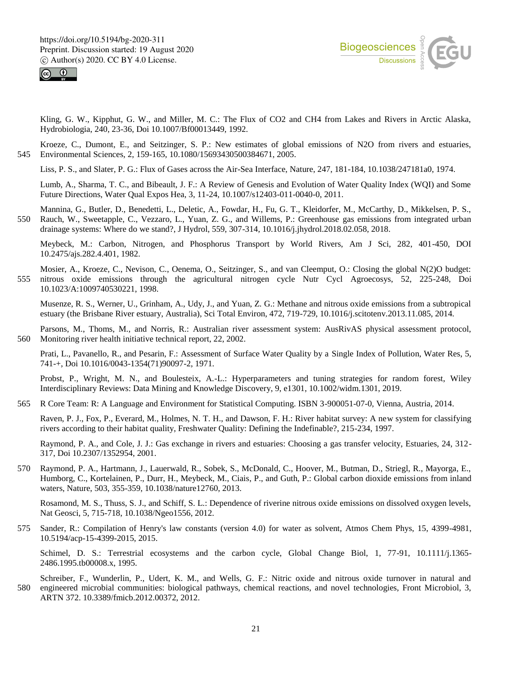



Kling, G. W., Kipphut, G. W., and Miller, M. C.: The Flux of CO2 and CH4 from Lakes and Rivers in Arctic Alaska, Hydrobiologia, 240, 23-36, Doi 10.1007/Bf00013449, 1992.

Kroeze, C., Dumont, E., and Seitzinger, S. P.: New estimates of global emissions of N2O from rivers and estuaries, 545 Environmental Sciences, 2, 159-165, 10.1080/15693430500384671, 2005.

Liss, P. S., and Slater, P. G.: Flux of Gases across the Air-Sea Interface, Nature, 247, 181-184, 10.1038/247181a0, 1974.

Lumb, A., Sharma, T. C., and Bibeault, J. F.: A Review of Genesis and Evolution of Water Quality Index (WQI) and Some Future Directions, Water Qual Expos Hea, 3, 11-24, 10.1007/s12403-011-0040-0, 2011.

Mannina, G., Butler, D., Benedetti, L., Deletic, A., Fowdar, H., Fu, G. T., Kleidorfer, M., McCarthy, D., Mikkelsen, P. S., 550 Rauch, W., Sweetapple, C., Vezzaro, L., Yuan, Z. G., and Willems, P.: Greenhouse gas emissions from integrated urban drainage systems: Where do we stand?, J Hydrol, 559, 307-314, 10.1016/j.jhydrol.2018.02.058, 2018.

Meybeck, M.: Carbon, Nitrogen, and Phosphorus Transport by World Rivers, Am J Sci, 282, 401-450, DOI 10.2475/ajs.282.4.401, 1982.

Mosier, A., Kroeze, C., Nevison, C., Oenema, O., Seitzinger, S., and van Cleemput, O.: Closing the global N(2)O budget: 555 nitrous oxide emissions through the agricultural nitrogen cycle Nutr Cycl Agroecosys, 52, 225-248, Doi 10.1023/A:1009740530221, 1998.

Musenze, R. S., Werner, U., Grinham, A., Udy, J., and Yuan, Z. G.: Methane and nitrous oxide emissions from a subtropical estuary (the Brisbane River estuary, Australia), Sci Total Environ, 472, 719-729, 10.1016/j.scitotenv.2013.11.085, 2014.

Parsons, M., Thoms, M., and Norris, R.: Australian river assessment system: AusRivAS physical assessment protocol, 560 Monitoring river health initiative technical report, 22, 2002.

Prati, L., Pavanello, R., and Pesarin, F.: Assessment of Surface Water Quality by a Single Index of Pollution, Water Res, 5, 741-+, Doi 10.1016/0043-1354(71)90097-2, 1971.

Probst, P., Wright, M. N., and Boulesteix, A.-L.: Hyperparameters and tuning strategies for random forest, Wiley Interdisciplinary Reviews: Data Mining and Knowledge Discovery, 9, e1301, 10.1002/widm.1301, 2019.

565 R Core Team: R: A Language and Environment for Statistical Computing. ISBN 3-900051-07-0, Vienna, Austria, 2014.

Raven, P. J., Fox, P., Everard, M., Holmes, N. T. H., and Dawson, F. H.: River habitat survey: A new system for classifying rivers according to their habitat quality, Freshwater Quality: Defining the Indefinable?, 215-234, 1997.

Raymond, P. A., and Cole, J. J.: Gas exchange in rivers and estuaries: Choosing a gas transfer velocity, Estuaries, 24, 312- 317, Doi 10.2307/1352954, 2001.

570 Raymond, P. A., Hartmann, J., Lauerwald, R., Sobek, S., McDonald, C., Hoover, M., Butman, D., Striegl, R., Mayorga, E., Humborg, C., Kortelainen, P., Durr, H., Meybeck, M., Ciais, P., and Guth, P.: Global carbon dioxide emissions from inland waters, Nature, 503, 355-359, 10.1038/nature12760, 2013.

Rosamond, M. S., Thuss, S. J., and Schiff, S. L.: Dependence of riverine nitrous oxide emissions on dissolved oxygen levels, Nat Geosci, 5, 715-718, 10.1038/Ngeo1556, 2012.

575 Sander, R.: Compilation of Henry's law constants (version 4.0) for water as solvent, Atmos Chem Phys, 15, 4399-4981, 10.5194/acp-15-4399-2015, 2015.

Schimel, D. S.: Terrestrial ecosystems and the carbon cycle, Global Change Biol, 1, 77-91, 10.1111/j.1365-2486.1995.tb00008.x, 1995.

Schreiber, F., Wunderlin, P., Udert, K. M., and Wells, G. F.: Nitric oxide and nitrous oxide turnover in natural and 580 engineered microbial communities: biological pathways, chemical reactions, and novel technologies, Front Microbiol, 3, ARTN 372. 10.3389/fmicb.2012.00372, 2012.